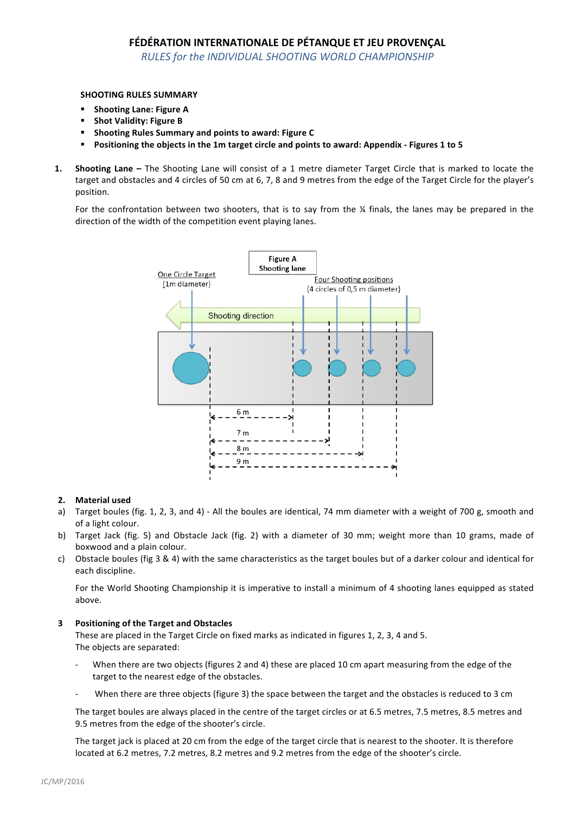# FÉDÉRATION INTERNATIONALE DE PÉTANQUE ET JEU PROVENÇAL

**RULES for the INDIVIDUAL SHOOTING WORLD CHAMPIONSHIP** 

### **SHOOTING RULES SUMMARY**

- Shooting Lane: Figure A
- **Shot Validity: Figure B**
- Shooting Rules Summary and points to award: Figure C
- Positioning the objects in the 1m target circle and points to award: Appendix Figures 1 to 5
- **1.** Shooting Lane The Shooting Lane will consist of a 1 metre diameter Target Circle that is marked to locate the target and obstacles and 4 circles of 50 cm at 6, 7, 8 and 9 metres from the edge of the Target Circle for the player's position.

For the confrontation between two shooters, that is to say from the  $\frac{1}{4}$  finals, the lanes may be prepared in the direction of the width of the competition event playing lanes.



## **2. Material used**

- a) Target boules (fig. 1, 2, 3, and 4) All the boules are identical, 74 mm diameter with a weight of 700 g, smooth and of a light colour.
- b) Target Jack (fig. 5) and Obstacle Jack (fig. 2) with a diameter of 30 mm; weight more than 10 grams, made of boxwood and a plain colour.
- c) Obstacle boules (fig 3 & 4) with the same characteristics as the target boules but of a darker colour and identical for each discipline.

For the World Shooting Championship it is imperative to install a minimum of 4 shooting lanes equipped as stated above.

#### **3 Positioning of the Target and Obstacles**

These are placed in the Target Circle on fixed marks as indicated in figures 1, 2, 3, 4 and 5. The objects are separated:

- When there are two objects (figures 2 and 4) these are placed 10 cm apart measuring from the edge of the target to the nearest edge of the obstacles.
- When there are three objects (figure 3) the space between the target and the obstacles is reduced to 3 cm

The target boules are always placed in the centre of the target circles or at 6.5 metres, 7.5 metres, 8.5 metres and 9.5 metres from the edge of the shooter's circle.

The target jack is placed at 20 cm from the edge of the target circle that is nearest to the shooter. It is therefore located at 6.2 metres, 7.2 metres, 8.2 metres and 9.2 metres from the edge of the shooter's circle.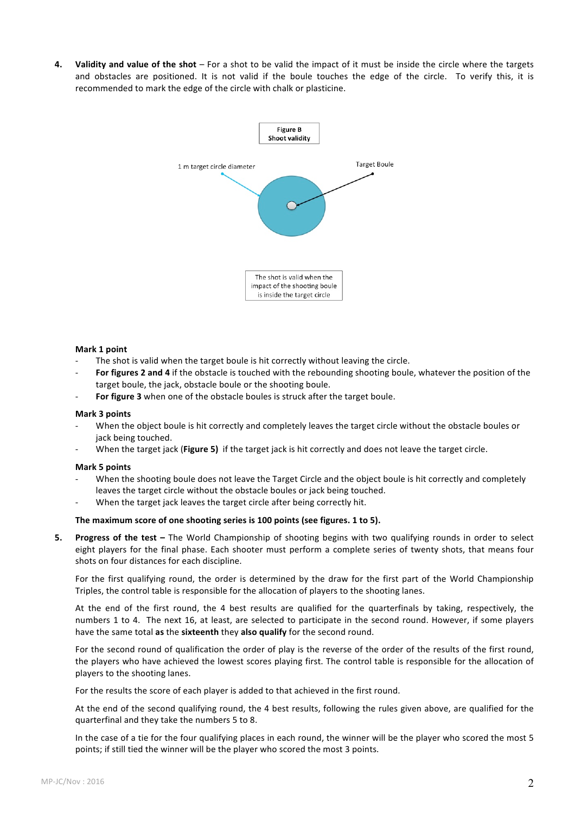**4. Validity and value of the shot** – For a shot to be valid the impact of it must be inside the circle where the targets and obstacles are positioned. It is not valid if the boule touches the edge of the circle. To verify this, it is recommended to mark the edge of the circle with chalk or plasticine.



#### **Mark 1 point**

- The shot is valid when the target boule is hit correctly without leaving the circle.
- For figures 2 and 4 if the obstacle is touched with the rebounding shooting boule, whatever the position of the target boule, the jack, obstacle boule or the shooting boule.
- For figure 3 when one of the obstacle boules is struck after the target boule.

#### **Mark 3 points**

- When the object boule is hit correctly and completely leaves the target circle without the obstacle boules or jack being touched.
- When the target jack (Figure 5) if the target jack is hit correctly and does not leave the target circle.

#### **Mark 5 points**

- When the shooting boule does not leave the Target Circle and the object boule is hit correctly and completely leaves the target circle without the obstacle boules or jack being touched.
- When the target jack leaves the target circle after being correctly hit.

#### The maximum score of one shooting series is 100 points (see figures. 1 to 5).

**5.** Progress of the test – The World Championship of shooting begins with two qualifying rounds in order to select eight players for the final phase. Each shooter must perform a complete series of twenty shots, that means four shots on four distances for each discipline.

For the first qualifying round, the order is determined by the draw for the first part of the World Championship Triples, the control table is responsible for the allocation of players to the shooting lanes.

At the end of the first round, the 4 best results are qualified for the quarterfinals by taking, respectively, the numbers 1 to 4. The next 16, at least, are selected to participate in the second round. However, if some players have the same total as the sixteenth they also qualify for the second round.

For the second round of qualification the order of play is the reverse of the order of the results of the first round, the players who have achieved the lowest scores playing first. The control table is responsible for the allocation of players to the shooting lanes.

For the results the score of each player is added to that achieved in the first round.

At the end of the second qualifying round, the 4 best results, following the rules given above, are qualified for the quarterfinal and they take the numbers 5 to 8.

In the case of a tie for the four qualifying places in each round, the winner will be the player who scored the most 5 points; if still tied the winner will be the player who scored the most 3 points.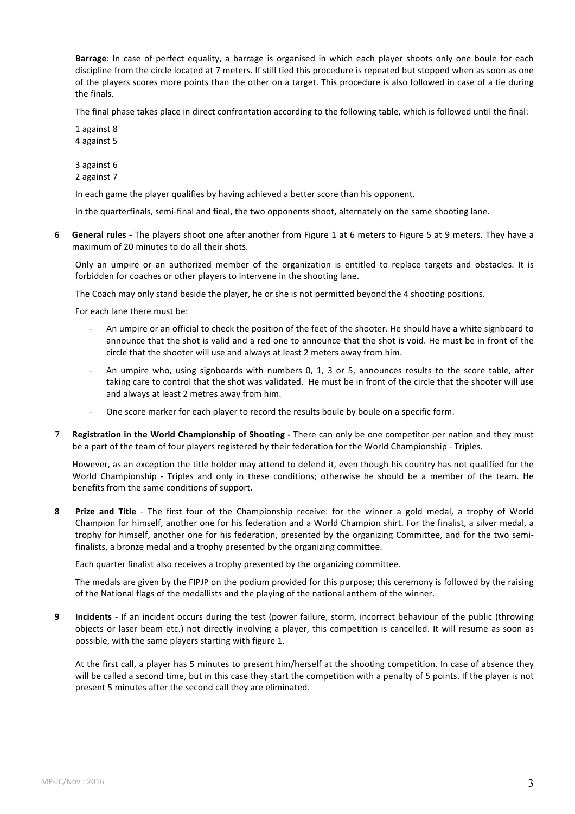**Barrage**: In case of perfect equality, a barrage is organised in which each player shoots only one boule for each discipline from the circle located at 7 meters. If still tied this procedure is repeated but stopped when as soon as one of the players scores more points than the other on a target. This procedure is also followed in case of a tie during the finals.

The final phase takes place in direct confrontation according to the following table, which is followed until the final:

1 against 8 4 against 5

3 against 6 2 against 7

In each game the player qualifies by having achieved a better score than his opponent.

In the quarterfinals, semi-final and final, the two opponents shoot, alternately on the same shooting lane.

**6 General rules** - The players shoot one after another from Figure 1 at 6 meters to Figure 5 at 9 meters. They have a maximum of 20 minutes to do all their shots.

Only an umpire or an authorized member of the organization is entitled to replace targets and obstacles. It is forbidden for coaches or other players to intervene in the shooting lane.

The Coach may only stand beside the player, he or she is not permitted beyond the 4 shooting positions.

For each lane there must be:

- An umpire or an official to check the position of the feet of the shooter. He should have a white signboard to announce that the shot is valid and a red one to announce that the shot is void. He must be in front of the circle that the shooter will use and always at least 2 meters away from him.
- An umpire who, using signboards with numbers 0, 1, 3 or 5, announces results to the score table, after taking care to control that the shot was validated. He must be in front of the circle that the shooter will use and always at least 2 metres away from him.
- One score marker for each player to record the results boule by boule on a specific form.
- 7 **Registration in the World Championship of Shooting -** There can only be one competitor per nation and they must be a part of the team of four players registered by their federation for the World Championship - Triples.

However, as an exception the title holder may attend to defend it, even though his country has not qualified for the World Championship - Triples and only in these conditions; otherwise he should be a member of the team. He benefits from the same conditions of support.

**8 Prize and Title** - The first four of the Championship receive: for the winner a gold medal, a trophy of World Champion for himself, another one for his federation and a World Champion shirt. For the finalist, a silver medal, a trophy for himself, another one for his federation, presented by the organizing Committee, and for the two semifinalists, a bronze medal and a trophy presented by the organizing committee.

Each quarter finalist also receives a trophy presented by the organizing committee.

The medals are given by the FIPJP on the podium provided for this purpose; this ceremony is followed by the raising of the National flags of the medallists and the playing of the national anthem of the winner.

**9 Incidents** - If an incident occurs during the test (power failure, storm, incorrect behaviour of the public (throwing objects or laser beam etc.) not directly involving a player, this competition is cancelled. It will resume as soon as possible, with the same players starting with figure 1.

At the first call, a player has 5 minutes to present him/herself at the shooting competition. In case of absence they will be called a second time, but in this case they start the competition with a penalty of 5 points. If the player is not present 5 minutes after the second call they are eliminated.